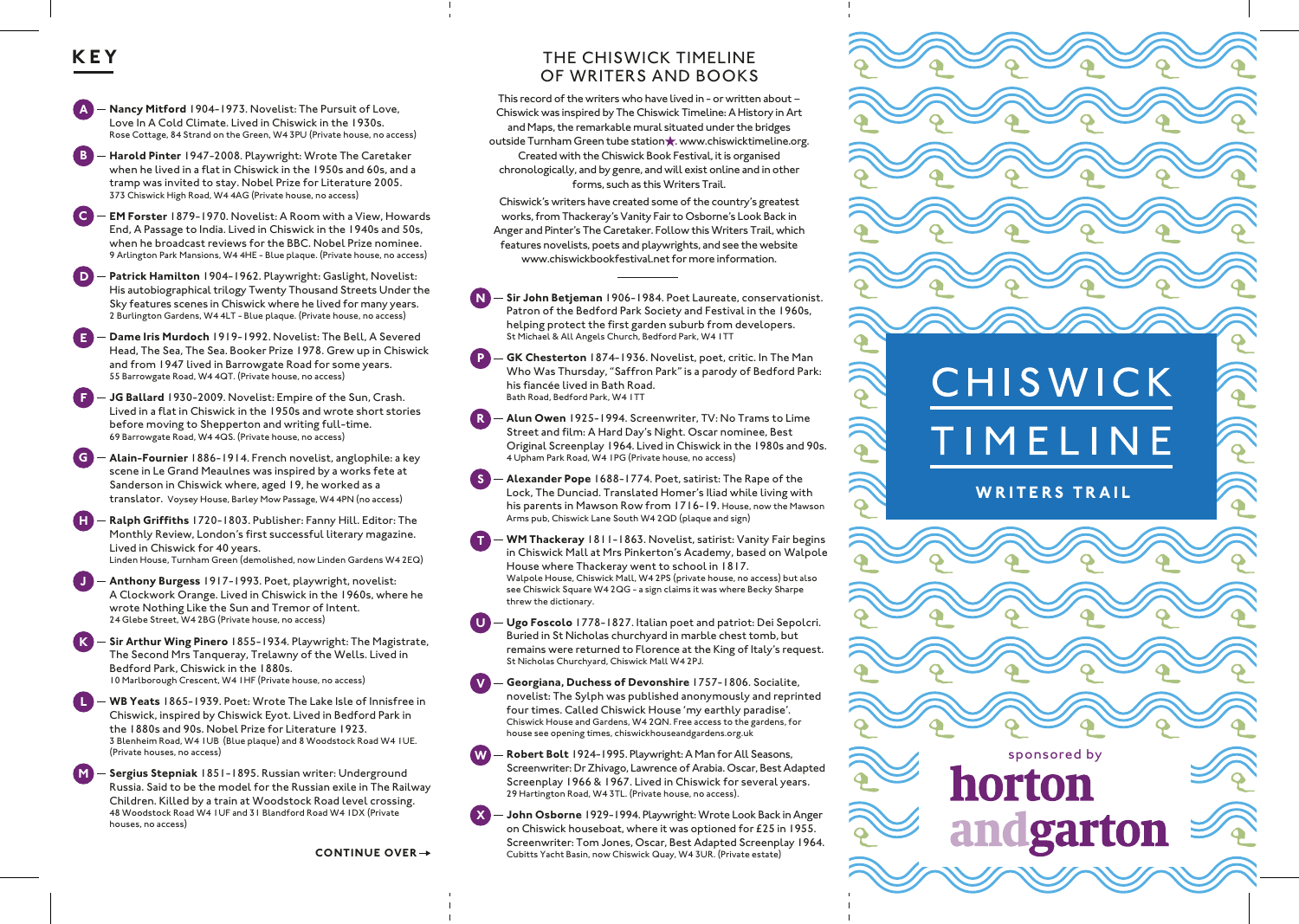## **KEY**

**M**

**A Nancy Mitford** 1904-1973. Novelist: The Pursuit of Love, Love In A Cold Climate. Lived in Chiswick in the 1930s. Rose Cottage, 84 Strand on the Green, W4 3PU (Private house, no access)

**B Harold Pinter** 1947-2008. Playwright: Wrote The Caretaker when he lived in a flat in Chiswick in the 1950s and 60s, and a tramp was invited to stay. Nobel Prize for Literature 2005. 373 Chiswick High Road, W4 4AG (Private house, no access)

**C EM Forster** 1879-1970. Novelist: A Room with a View, Howards End, A Passage to India. Lived in Chiswick in the 1940s and 50s, when he broadcast reviews for the BBC. Nobel Prize nominee. 9 Arlington Park Mansions, W4 4HE - Blue plaque. (Private house, no access)

**D Patrick Hamilton** 1904-1962. Playwright: Gaslight, Novelist: His autobiographical trilogy Twenty Thousand Streets Under the Sky features scenes in Chiswick where he lived for many years. 2 Burlington Gardens, W4 4LT - Blue plaque. (Private house, no access)

**E Dame Iris Murdoch** 1919-1992. Novelist: The Bell, A Severed Head, The Sea, The Sea. Booker Prize 1978. Grew up in Chiswick and from 1947 lived in Barrowgate Road for some years. 55 Barrowgate Road, W4 4QT. (Private house, no access)

**F JG Ballard** 1930-2009. Novelist: Empire of the Sun, Crash. Lived in a flat in Chiswick in the 1950s and wrote short stories before moving to Shepperton and writing full-time. 69 Barrowgate Road, W4 4QS. (Private house, no access)

**G Alain-Fournier** 1886-1914. French novelist, anglophile: a key scene in Le Grand Meaulnes was inspired by a works fete at Sanderson in Chiswick where, aged 19, he worked as a translator. Voysey House, Barley Mow Passage, W4 4PN (no access)

**H Ralph Grifths** 1720-1803. Publisher: Fanny Hill. Editor: The Monthly Review, London's first successful literary magazine. Lived in Chiswick for 40 years. Linden House, Turnham Green (demolished, now Linden Gardens W4 2EQ)

**J Anthony Burgess** 1917-1993. Poet, playwright, novelist: A Clockwork Orange. Lived in Chiswick in the 1960s, where he wrote Nothing Like the Sun and Tremor of Intent. 24 Glebe Street, W4 2BG (Private house, no access)

**K Sir Arthur Wing Pinero** 1855-1934. Playwright: The Magistrate, The Second Mrs Tanqueray, Trelawny of the Wells. Lived in Bedford Park, Chiswick in the 1880s. 10 Marlborough Crescent, W4 1HF (Private house, no access)

**L WB Yeats** 1865-1939. Poet: Wrote The Lake Isle of Innisfree in Chiswick, inspired by Chiswick Eyot. Lived in Bedford Park in the 1880s and 90s. Nobel Prize for Literature 1923. 3 Blenheim Road, W4 1UB (Blue plaque) and 8 Woodstock Road W4 1UE. (Private houses, no access)

**Sergius Stepniak** 1851-1895. Russian writer: Underground Russia. Said to be the model for the Russian exile in The Railway Children. Killed by a train at Woodstock Road level crossing. 48 Woodstock Road W4 1UF and 31 Blandford Road W4 1DX (Private houses, no access)

**CONTINUE OVER**

## THE CHISWICK TIMELINE OF WRITERS AND BOOKS

This record of the writers who have lived in - or written about – Chiswick was inspired by The Chiswick Timeline: A History in Art and Maps, the remarkable mural situated under the bridges outside Turnham Green tube station . www.chiswicktimeline.org. Created with the Chiswick Book Festival, it is organised chronologically, and by genre, and will exist online and in other forms, such as this Writers Trail.

Chiswick's writers have created some of the country's greatest works, from Thackeray's Vanity Fair to Osborne's Look Back in Anger and Pinter's The Caretaker. Follow this Writers Trail, which features novelists, poets and playwrights, and see the website www.chiswickbookfestival.net for more information.

**N Sir John Betjeman** 1906-1984. Poet Laureate, conservationist. Patron of the Bedford Park Society and Festival in the 1960s, helping protect the first garden suburb from developers. St Michael & All Angels Church, Bedford Park, W4 1TT

**P GK Chesterton** 1874-1936. Novelist, poet, critic. In The Man Who Was Thursday, "Saffron Park" is a parody of Bedford Park: his fiancée lived in Bath Road. Bath Road, Bedford Park, W4 1TT

**R Alun Owen** 1925-1994. Screenwriter, TV: No Trams to Lime Street and film: A Hard Day's Night. Oscar nominee, Best Original Screenplay 1964. Lived in Chiswick in the 1980s and 90s. 4 Upham Park Road, W4 1PG (Private house, no access)

**S Alexander Pope** 1688-1774. Poet, satirist: The Rape of the Lock, The Dunciad. Translated Homer's Iliad while living with his parents in Mawson Row from 1716-19. House, now the Mawson Arms pub, Chiswick Lane South W4 2QD (plaque and sign)

**T WM Thackeray** 1811-1863. Novelist, satirist: Vanity Fair begins in Chiswick Mall at Mrs Pinkerton's Academy, based on Walpole House where Thackeray went to school in 1817. Walpole House, Chiswick Mall, W4 2PS (private house, no access) but also see Chiswick Square W4 2QG - a sign claims it was where Becky Sharpe threw the dictionary.

**U Ugo Foscolo** 1778-1827. Italian poet and patriot: Dei Sepolcri. Buried in St Nicholas churchyard in marble chest tomb, but remains were returned to Florence at the King of Italy's request. St Nicholas Churchyard, Chiswick Mall W4 2PJ.

**V Georgiana, Duchess of Devonshire** 1757-1806. Socialite, novelist: The Sylph was published anonymously and reprinted four times. Called Chiswick House 'my earthly paradise'. Chiswick House and Gardens, W4 2QN. Free access to the gardens, for house see opening times, chiswickhouseandgardens.org.uk

**W Robert Bolt** 1924-1995. Playwright: A Man for All Seasons, Screenwriter: Dr Zhivago, Lawrence of Arabia. Oscar, Best Adapted Screenplay 1966 & 1967. Lived in Chiswick for several years. 29 Hartington Road, W4 3TL. (Private house, no access).

**John Osborne** 1929-1994. Playwright: Wrote Look Back in Anger on Chiswick houseboat, where it was optioned for £25 in 1955. Screenwriter: Tom Jones, Oscar, Best Adapted Screenplay 1964. Cubitts Yacht Basin, now Chiswick Quay, W4 3UR. (Private estate) **X**



sponsored by

andgarton

horton